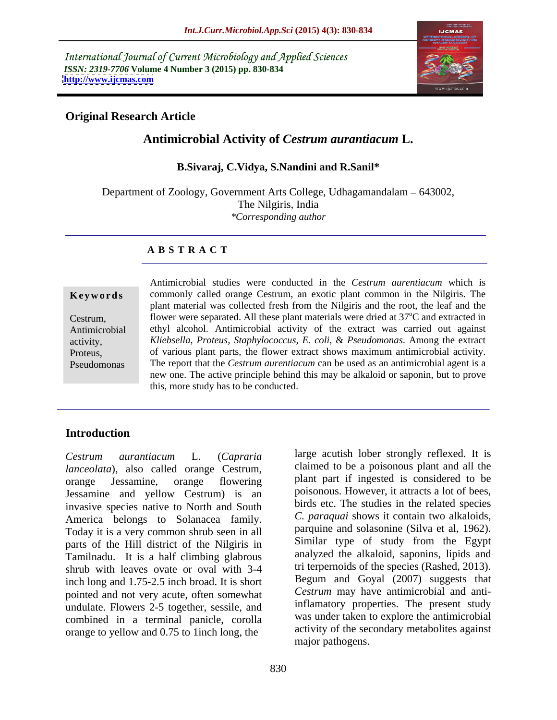International Journal of Current Microbiology and Applied Sciences *ISSN: 2319-7706* **Volume 4 Number 3 (2015) pp. 830-834 <http://www.ijcmas.com>**



## **Original Research Article**

# **Antimicrobial Activity of** *Cestrum aurantiacum* **L.**

### **B.Sivaraj, C.Vidya, S.Nandini and R.Sanil\***

Department of Zoology, Government Arts College, Udhagamandalam - 643002, The Nilgiris, India *\*Corresponding author*

### **A B S T R A C T**

Pseudomonas

Antimicrobial studies were conducted in the *Cestrum aurentiacum* which is **Keywords** commonly called orange Cestrum, an exotic plant common in the Nilgiris. The plant material was collected fresh from the Nilgiris and the root, the leaf and the Cestrum, flower were separated. All these plant materials were dried at 37<sup>o</sup>C and extracted in ethyl alcohol. Antimicrobial activity of the extract was carried out against Antimicrobial *Kliebsella, Proteus, Staphylococcus, E. coli,* & *Pseudomonas*. Among the extract activity, of various plant parts, the flower extract shows maximum antimicrobial activity. Proteus, The report that the *Cestrum aurentiacum* can be used as an antimicrobial agent is a new one. The active principle behind this may be alkaloid or saponin, but to prove this, more study has to be conducted.

# **Introduction**

*lanceolata*), also called orange Cestrum, claimed to be a poisonous plant and all the plant part if ingested is considered to be Jessamine and yellow Cestrum) is an invasive species native to North and South America belongs to Solanacea family. Today it is a very common shrub seen in all parts of the Hill district of the Nilgiris in Tamilnadu. It is a half climbing glabrous shrub with leaves ovate or oval with 3-4 inch long and 1.75-2.5 inch broad. It is short pointed and not very acute, often somewhat undulate. Flowers 2-5 together, sessile, and combined in a terminal panicle, corolla orange to yellow and 0.75 to 1inch long, the

*Cestrum aurantiacum* L. (*Capraria*  large acutish lober strongly reflexed. It is claimed to be a poisonous plant and all the plant part if ingested is considered to be poisonous. However, it attracts a lot of bees, birds etc. The studies in the related species *C. paraquai* shows it contain two alkaloids, parquine and solasonine (Silva et al, 1962). Similar type of study from the Egypt analyzed the alkaloid, saponins, lipids and tri terpernoids of the species (Rashed, 2013). Begum and Goyal (2007) suggests that *Cestrum* may have antimicrobial and antiinflamatory properties. The present study was under taken to explore the antimicrobial activity of the secondary metabolites against major pathogens.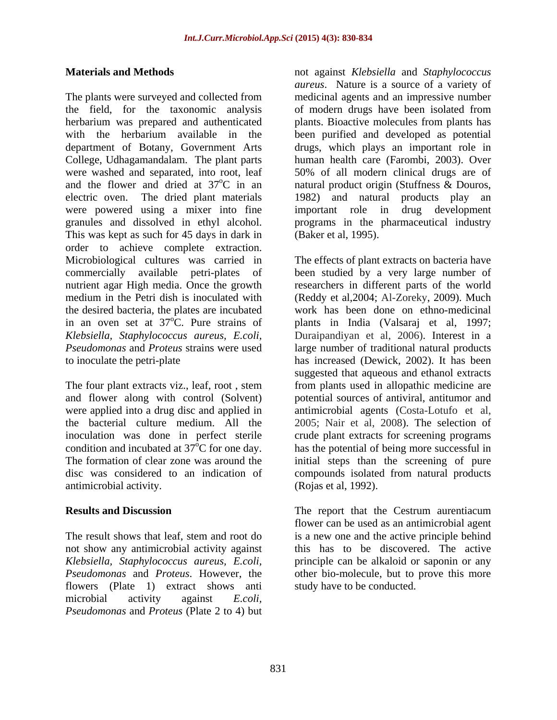The plants were surveyed and collected from medicinal agents and an impressive number the field, for the taxonomic analysis of modern drugs have been isolated from herbarium was prepared and authenticated plants. Bioactive molecules from plants has with the herbarium available in the been purified and developed as potential department of Botany, Government Arts drugs, which plays an important role in College, Udhagamandalam. The plant parts were washed and separated, into root, leaf 50% of all modern clinical drugs are of and the flower and dried at  $37^{\circ}$ C in an atural product origin (Stuffness & Douros, electric oven. The dried plant materials 1982) and natural products play an were powered using a mixer into fine granules and dissolved in ethyl alcohol. programs in the pharmaceutical industry This was kept as such for 45 days in dark in order to achieve complete extraction. nutrient agar High media. Once the growth the desired bacteria, the plates are incubated

The four plant extracts viz., leaf, root , stem and flower along with control (Solvent) antimicrobial activity.

flowers (Plate 1) extract shows anti microbial activity against *E.coli, Pseudomonas* and *Proteus* (Plate 2 to 4) but

**Materials and Methods** not against *Klebsiella* and *Staphylococcus aureus*. Nature is a source of a variety of human health care (Farombi, 2003). Over important role in drug development (Baker et al, 1995).

Microbiological cultures was carried in The effects of plant extracts on bacteria have commercially available petri-plates of been studied by a very large number of medium in the Petri dish is inoculated with (Reddy et al,2004; Al-Zoreky, 2009). Much in an oven set at  $37^{\circ}$ C. Pure strains of plants in India (Valsaraj et al, 1997; *Klebsiella, Staphylococcus aureus, E.coli,* Duraipandiyan et al, 2006). Interest in a *Pseudomonas* and *Proteus* strains were used large number of traditional natural products to inoculate the petri-plate has increased (Dewick, 2002). It has been were applied into a drug disc and applied in antimicrobial agents (Costa-Lotufo et al, the bacterial culture medium. All the 2005; Nair et al, 2008). The selection of inoculation was done in perfect sterile crude plant extracts for screening programs condition and incubated at  $37^{\circ}$ C for one day. has the potential of being more successful in The formation of clear zone was around the initial steps than the screening of pure disc was considered to an indication of compounds isolated from natural products researchers in different parts of the world work has been done on ethno-medicinal suggested that aqueous and ethanol extracts from plants used in allopathic medicine are potential sources of antiviral, antitumor and (Rojas et al, 1992).

**Results and Discussion Results and Discussion Results and Discussion Results and Discussion Results** and **Properties Results** and **Properties Results Results Results Results Results Results Results** The result shows that leaf, stem and root do is a new one and the active principle behind not show any antimicrobial activity against this has to be discovered. The active *Klebsiella, Staphylococcus aureus, E.coli,* principle can be alkaloid or saponin or any *Pseudomonas* and *Proteus*. However, the other bio-molecule, but to prove this more The report that the Cestrum aurentiacum flower can be used as an antimicrobial agent study have to be conducted.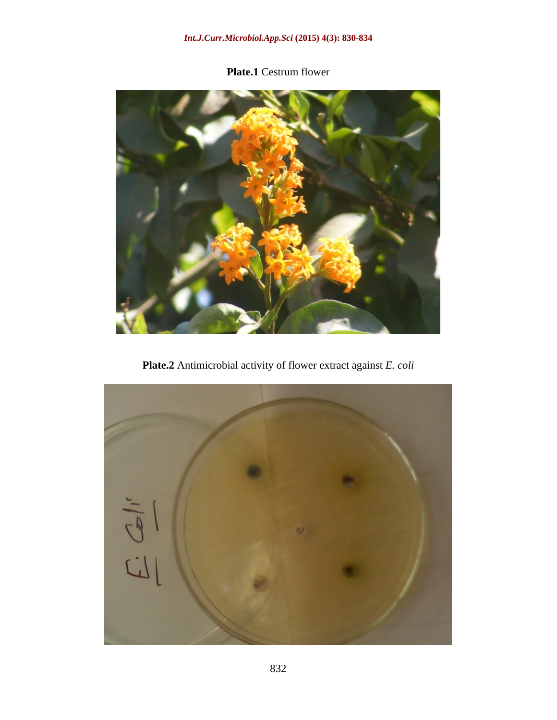# *Int.J.Curr.Microbiol.App.Sci* **(2015) 4(3): 830-834**

# **Plate.1** Cestrum flower



**Plate.2** Antimicrobial activity of flower extract against *E. coli*

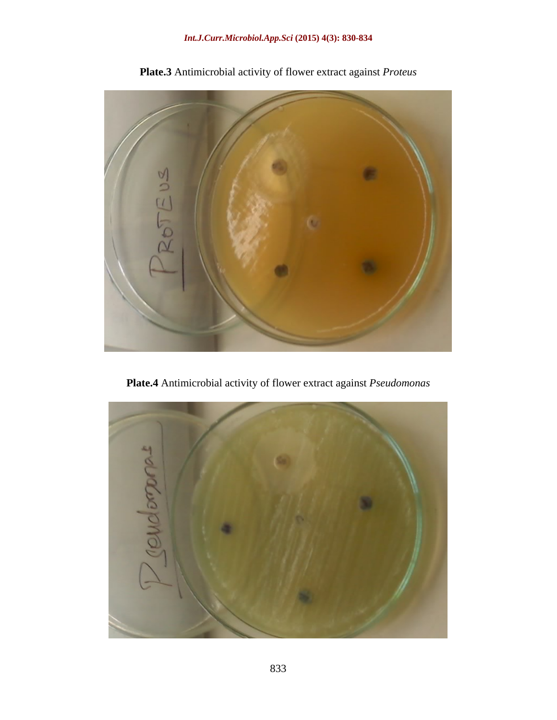

**Plate.3** Antimicrobial activity of flower extract against *Proteus*

**Plate.4** Antimicrobial activity of flower extract against *Pseudomonas*